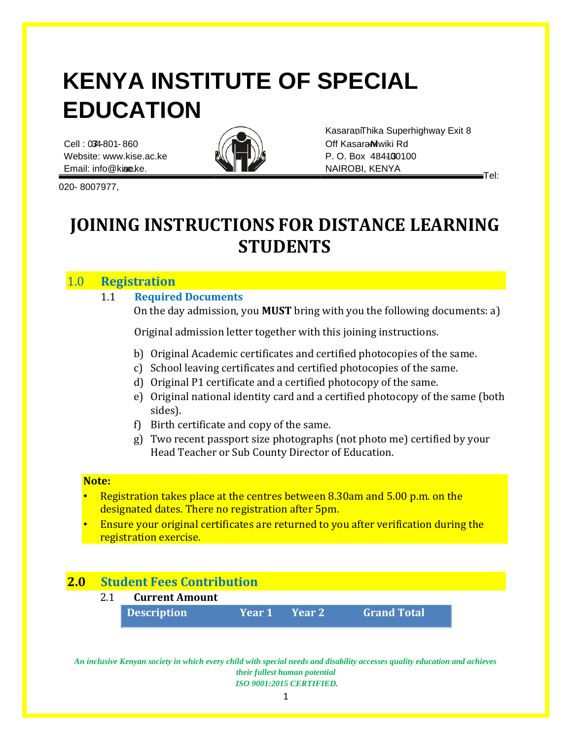# **KENYA INSTITUTE OF SPECIAL EDUCATION**

Cell : 074-801-860  $\sqrt{\sqrt{1-\lambda}}$  Off Kasara Muwiki Rd Website: www.kise.ac.ke  $\mathbb{N}(\mathbb{R}^m)$   $\mathbb{R}$  P. O. Box 484130100 Email: info@ki**se.** ke. **ac.ke.** NAIROBI, KENYA



Kasarani Thika Superhighway Exit 8

Tel:

020- 8007977,

# **JOINING INSTRUCTIONS FOR DISTANCE LEARNING STUDENTS**

# 1.0 **Registration**

# 1.1 **Required Documents**

On the day admission, you **MUST** bring with you the following documents: a)

Original admission letter together with this joining instructions.

- b) Original Academic certificates and certified photocopies of the same.
- c) School leaving certificates and certified photocopies of the same.
- d) Original P1 certificate and a certified photocopy of the same.
- e) Original national identity card and a certified photocopy of the same (both sides).
- f) Birth certificate and copy of the same.
- g) Two recent passport size photographs (not photo me) certified by your Head Teacher or Sub County Director of Education.

#### **Note:**

- Registration takes place at the centres between 8.30am and 5.00 p.m. on the designated dates. There no registration after 5pm.
- Ensure your original certificates are returned to you after verification during the registration exercise.

# **2.0 Student Fees Contribution**

| 2.1 | <b>Current Amount</b> |  |                       |                    |
|-----|-----------------------|--|-----------------------|--------------------|
|     | <b>Description</b>    |  | Year 1        Year 2' | <b>Grand Total</b> |

*An inclusive Kenyan society in which every child with special needs and disability accesses quality education and achieves their fullest human potential ISO 9001:2015 CERTIFIED.*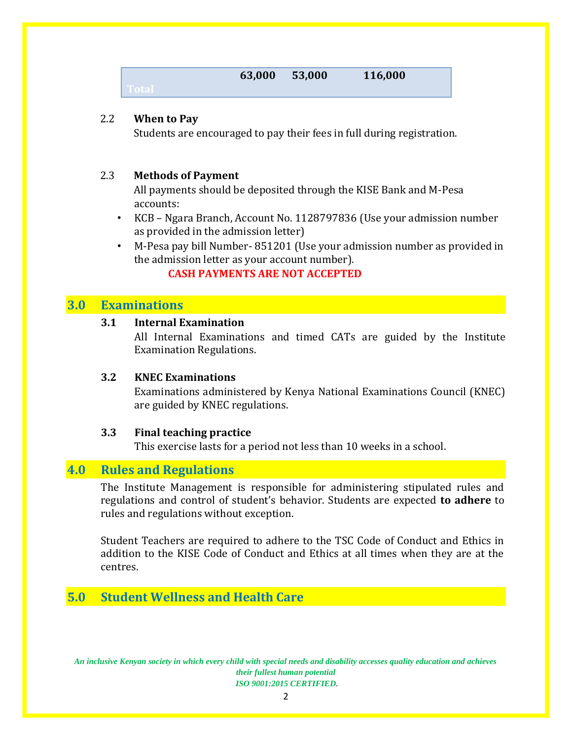| 63,000 | 53,000 | 116,000 |
|--------|--------|---------|
|--------|--------|---------|

#### 2.2 **When to Pay**

Students are encouraged to pay their fees in full during registration.

#### 2.3 **Methods of Payment**

All payments should be deposited through the KISE Bank and M-Pesa accounts:

- KCB Ngara Branch, Account No. 1128797836 (Use your admission number as provided in the admission letter)
- M-Pesa pay bill Number- 851201 (Use your admission number as provided in the admission letter as your account number).

### **CASH PAYMENTS ARE NOT ACCEPTED**

### **3.0 Examinations**

#### **3.1 Internal Examination**

All Internal Examinations and timed CATs are guided by the Institute Examination Regulations.

#### **3.2 KNEC Examinations**

Examinations administered by Kenya National Examinations Council (KNEC) are guided by KNEC regulations.

#### **3.3 Final teaching practice**

This exercise lasts for a period not less than 10 weeks in a school.

# **4.0 Rules and Regulations**

The Institute Management is responsible for administering stipulated rules and regulations and control of student's behavior. Students are expected **to adhere** to rules and regulations without exception.

Student Teachers are required to adhere to the TSC Code of Conduct and Ethics in addition to the KISE Code of Conduct and Ethics at all times when they are at the centres.

# **5.0 Student Wellness and Health Care**

*An inclusive Kenyan society in which every child with special needs and disability accesses quality education and achieves their fullest human potential ISO 9001:2015 CERTIFIED.*